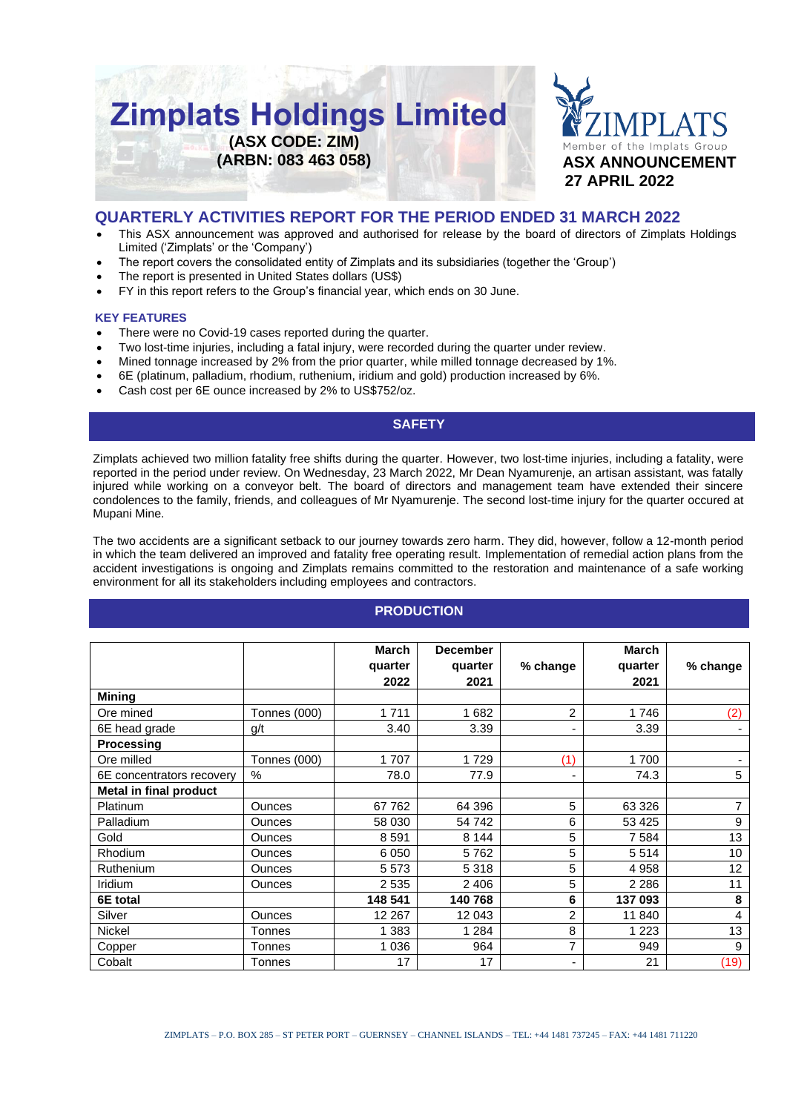



# **QUARTERLY ACTIVITIES REPORT FOR THE PERIOD ENDED 31 MARCH 2022**

- This ASX announcement was approved and authorised for release by the board of directors of Zimplats Holdings Limited ('Zimplats' or the 'Company')
- The report covers the consolidated entity of Zimplats and its subsidiaries (together the 'Group')
- The report is presented in United States dollars (US\$)
- FY in this report refers to the Group's financial year, which ends on 30 June.

#### **KEY FEATURES**

- There were no Covid-19 cases reported during the quarter.
- Two lost-time injuries, including a fatal injury, were recorded during the quarter under review.
- Mined tonnage increased by 2% from the prior quarter, while milled tonnage decreased by 1%.
- 6E (platinum, palladium, rhodium, ruthenium, iridium and gold) production increased by 6%.
- Cash cost per 6E ounce increased by 2% to US\$752/oz.

## **SAFETY**

Zimplats achieved two million fatality free shifts during the quarter. However, two lost-time injuries, including a fatality, were reported in the period under review. On Wednesday, 23 March 2022, Mr Dean Nyamurenje, an artisan assistant, was fatally injured while working on a conveyor belt. The board of directors and management team have extended their sincere condolences to the family, friends, and colleagues of Mr Nyamurenje. The second lost-time injury for the quarter occured at Mupani Mine.

The two accidents are a significant setback to our journey towards zero harm. They did, however, follow a 12-month period in which the team delivered an improved and fatality free operating result. Implementation of remedial action plans from the accident investigations is ongoing and Zimplats remains committed to the restoration and maintenance of a safe working environment for all its stakeholders including employees and contractors.

#### **PRODUCTION**

|                               |                     | <b>March</b> | <b>December</b> |                | <b>March</b> |                |
|-------------------------------|---------------------|--------------|-----------------|----------------|--------------|----------------|
|                               |                     | quarter      | quarter         | % change       | quarter      | $%$ change     |
|                               |                     | 2022         | 2021            |                | 2021         |                |
| <b>Mining</b>                 |                     |              |                 |                |              |                |
| Ore mined                     | <b>Tonnes (000)</b> | 1711         | 1682            | $\overline{c}$ | 1746         | (2)            |
| 6E head grade                 | g/t                 | 3.40         | 3.39            |                | 3.39         |                |
| <b>Processing</b>             |                     |              |                 |                |              |                |
| Ore milled                    | <b>Tonnes (000)</b> | 1707         | 1729            | (1)            | 1700         | ۰.             |
| 6E concentrators recovery     | $\%$                | 78.0         | 77.9            | ٠              | 74.3         | 5              |
| <b>Metal in final product</b> |                     |              |                 |                |              |                |
| <b>Platinum</b>               | <b>Ounces</b>       | 67762        | 64 396          | 5              | 63 326       | 7              |
| Palladium                     | <b>Ounces</b>       | 58 030       | 54 742          | 6              | 53 4 25      | 9              |
| Gold                          | <b>Ounces</b>       | 8591         | 8 1 4 4         | 5              | 7584         | 13             |
| <b>Rhodium</b>                | <b>Ounces</b>       | 6 0 5 0      | 5762            | 5              | 5514         | 10             |
| Ruthenium                     | <b>Ounces</b>       | 5573         | 5 3 1 8         | 5              | 4 9 5 8      | 12             |
| Iridium                       | <b>Ounces</b>       | 2 5 3 5      | 2 4 0 6         | 5              | 2 2 8 6      | 11             |
| 6E total                      |                     | 148 541      | 140 768         | 6              | 137 093      | 8              |
| Silver                        | <b>Ounces</b>       | 12 267       | 12 043          | 2              | 11 840       | $\overline{4}$ |
| <b>Nickel</b>                 | Tonnes              | 1 383        | 1 2 8 4         | 8              | 1 2 2 3      | 13             |
| Copper                        | Tonnes              | 1 0 3 6      | 964             | $\overline{7}$ | 949          | 9              |
| Cobalt                        | Tonnes              | 17           | 17              |                | 21           | (19)           |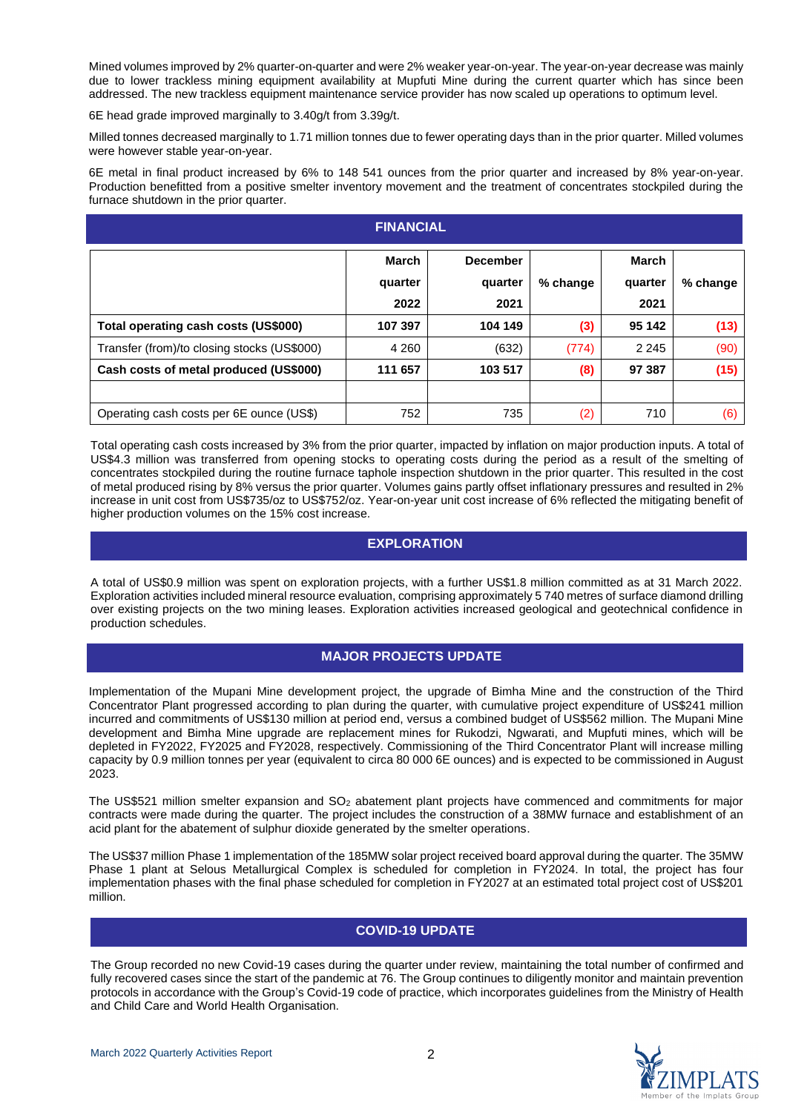Mined volumes improved by 2% quarter-on-quarter and were 2% weaker year-on-year. The year-on-year decrease was mainly due to lower trackless mining equipment availability at Mupfuti Mine during the current quarter which has since been addressed. The new trackless equipment maintenance service provider has now scaled up operations to optimum level.

6E head grade improved marginally to 3.40g/t from 3.39g/t.

Milled tonnes decreased marginally to 1.71 million tonnes due to fewer operating days than in the prior quarter. Milled volumes were however stable year-on-year.

6E metal in final product increased by 6% to 148 541 ounces from the prior quarter and increased by 8% year-on-year. Production benefitted from a positive smelter inventory movement and the treatment of concentrates stockpiled during the furnace shutdown in the prior quarter.

| <b>FINANCIAL</b>                            |                          |                                    |          |                          |          |  |  |  |  |  |
|---------------------------------------------|--------------------------|------------------------------------|----------|--------------------------|----------|--|--|--|--|--|
|                                             | March<br>quarter<br>2022 | <b>December</b><br>quarter<br>2021 | % change | March<br>quarter<br>2021 | % change |  |  |  |  |  |
| Total operating cash costs (US\$000)        | 107 397                  | 104 149                            | (3)      | 95 142                   | (13)     |  |  |  |  |  |
| Transfer (from)/to closing stocks (US\$000) | 4 2 6 0                  | (632)                              | (774)    | 2 2 4 5                  | (90)     |  |  |  |  |  |
| Cash costs of metal produced (US\$000)      | 111 657                  | 103 517                            | (8)      | 97 387                   | (15)     |  |  |  |  |  |
|                                             |                          |                                    |          |                          |          |  |  |  |  |  |
| Operating cash costs per 6E ounce (US\$)    | 752                      | 735                                | (2)      | 710                      | (6)      |  |  |  |  |  |

Total operating cash costs increased by 3% from the prior quarter, impacted by inflation on major production inputs. A total of US\$4.3 million was transferred from opening stocks to operating costs during the period as a result of the smelting of concentrates stockpiled during the routine furnace taphole inspection shutdown in the prior quarter. This resulted in the cost of metal produced rising by 8% versus the prior quarter. Volumes gains partly offset inflationary pressures and resulted in 2% increase in unit cost from US\$735/oz to US\$752/oz. Year-on-year unit cost increase of 6% reflected the mitigating benefit of higher production volumes on the 15% cost increase.

## **EXPLORATION**

A total of US\$0.9 million was spent on exploration projects, with a further US\$1.8 million committed as at 31 March 2022. Exploration activities included mineral resource evaluation, comprising approximately 5 740 metres of surface diamond drilling over existing projects on the two mining leases. Exploration activities increased geological and geotechnical confidence in production schedules.

# **MAJOR PROJECTS UPDATE**

Implementation of the Mupani Mine development project, the upgrade of Bimha Mine and the construction of the Third Concentrator Plant progressed according to plan during the quarter, with cumulative project expenditure of US\$241 million incurred and commitments of US\$130 million at period end, versus a combined budget of US\$562 million. The Mupani Mine development and Bimha Mine upgrade are replacement mines for Rukodzi, Ngwarati, and Mupfuti mines, which will be depleted in FY2022, FY2025 and FY2028, respectively. Commissioning of the Third Concentrator Plant will increase milling capacity by 0.9 million tonnes per year (equivalent to circa 80 000 6E ounces) and is expected to be commissioned in August 2023.

The US\$521 million smelter expansion and SO<sub>2</sub> abatement plant projects have commenced and commitments for major contracts were made during the quarter. The project includes the construction of a 38MW furnace and establishment of an acid plant for the abatement of sulphur dioxide generated by the smelter operations.

The US\$37 million Phase 1 implementation of the 185MW solar project received board approval during the quarter. The 35MW Phase 1 plant at Selous Metallurgical Complex is scheduled for completion in FY2024. In total, the project has four implementation phases with the final phase scheduled for completion in FY2027 at an estimated total project cost of US\$201 million.

# **COVID-19 UPDATE**

The Group recorded no new Covid-19 cases during the quarter under review, maintaining the total number of confirmed and fully recovered cases since the start of the pandemic at 76. The Group continues to diligently monitor and maintain prevention protocols in accordance with the Group's Covid-19 code of practice, which incorporates guidelines from the Ministry of Health and Child Care and World Health Organisation.